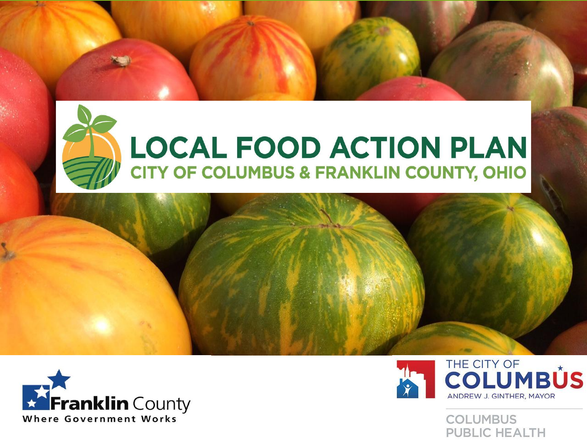





**COLUMBUS PUBLIC HEALTH**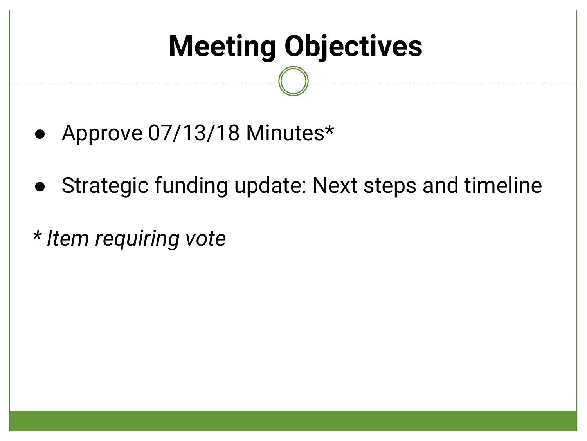# **Meeting Objectives**

- Approve 07/13/18 Minutes\*
- Strategic funding update: Next steps and timeline
- *\* Item requiring vote*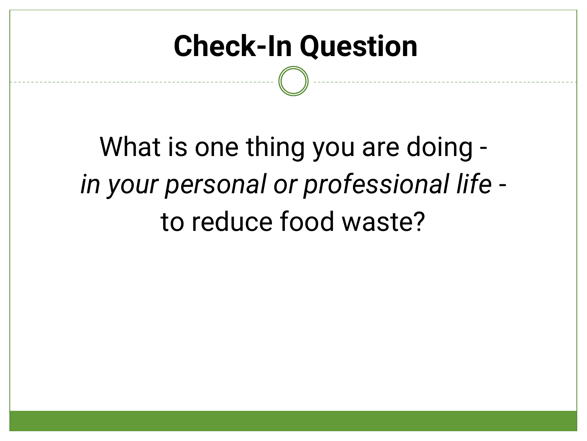### **Check-In Question**

What is one thing you are doing *in your personal or professional life* to reduce food waste?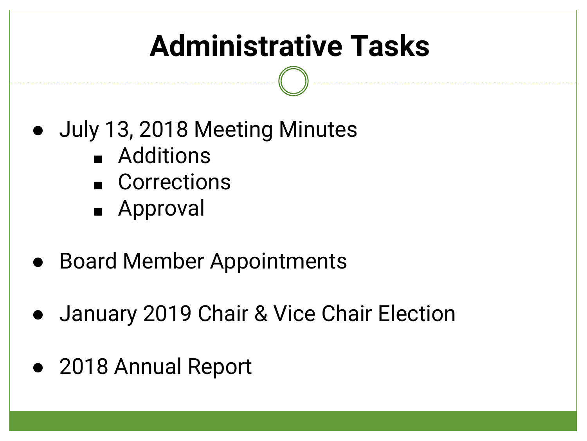# **Administrative Tasks**

- July 13, 2018 Meeting Minutes
	- Additions
	- Corrections
	- Approval
- Board Member Appointments
- January 2019 Chair & Vice Chair Election
- 2018 Annual Report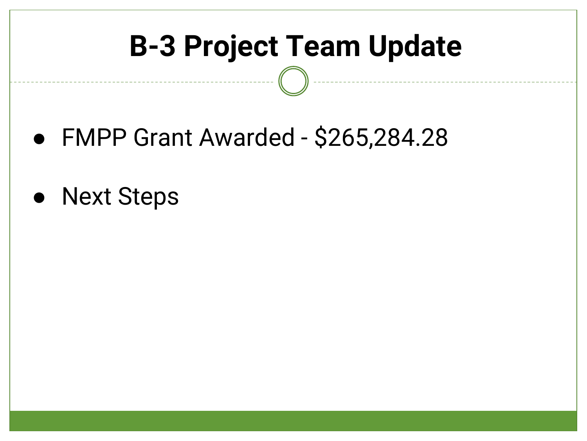### **B-3 Project Team Update**

- FMPP Grant Awarded \$265,284.28
- Next Steps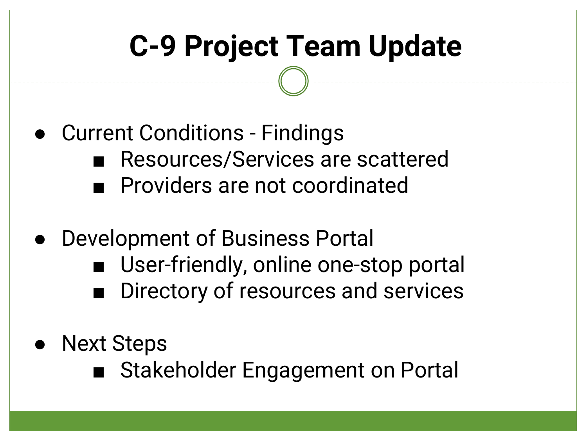## **C-9 Project Team Update**

- Current Conditions Findings Resources/Services are scattered ■ Providers are not coordinated
- Development of Business Portal
	- User-friendly, online one-stop portal
	- Directory of resources and services
- **Next Steps** 
	- Stakeholder Engagement on Portal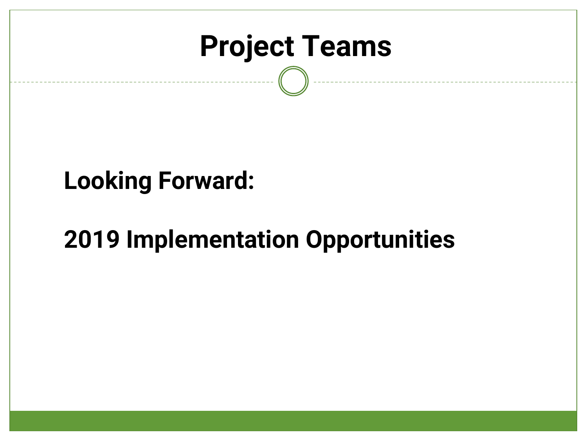

#### **Looking Forward:**

#### **2019 Implementation Opportunities**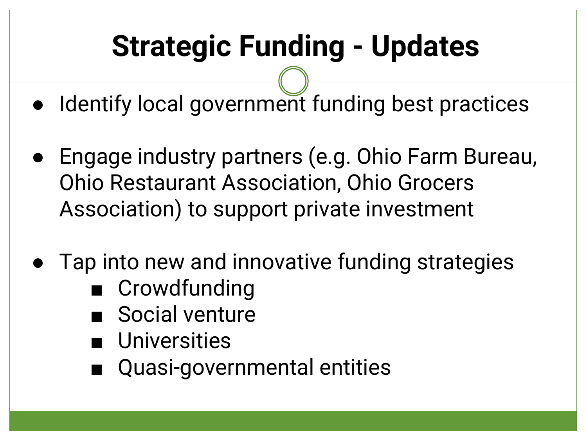# **Strategic Funding - Updates**

- Identify local government funding best practices
- Engage industry partners (e.g. Ohio Farm Bureau, Ohio Restaurant Association, Ohio Grocers Association) to support private investment
- Tap into new and innovative funding strategies
	- Crowdfunding
	- Social venture
	- **Universities**
	- Quasi-governmental entities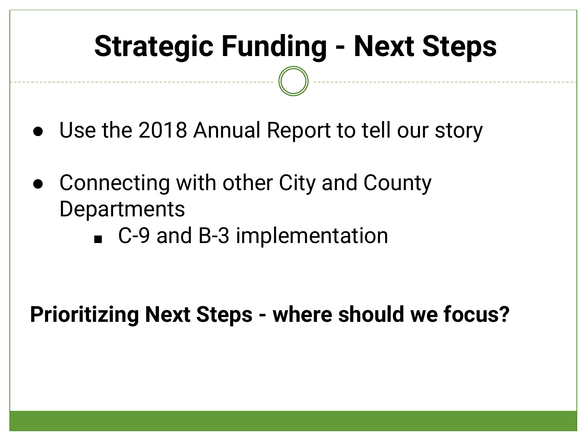## **Strategic Funding - Next Steps**

- Use the 2018 Annual Report to tell our story
- Connecting with other City and County **Departments** 
	- C-9 and B-3 implementation

**Prioritizing Next Steps - where should we focus?**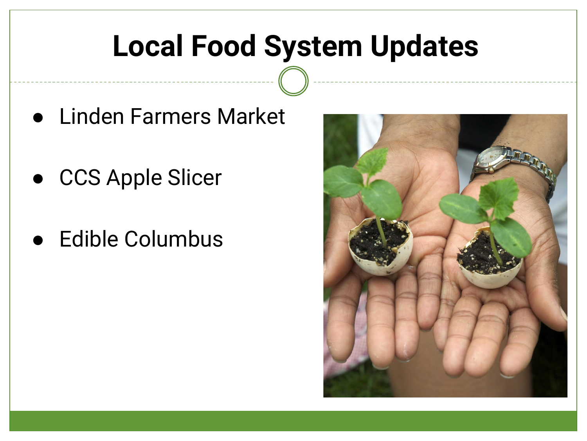#### **Local Food System Updates**

- Linden Farmers Market
- CCS Apple Slicer
- Edible Columbus

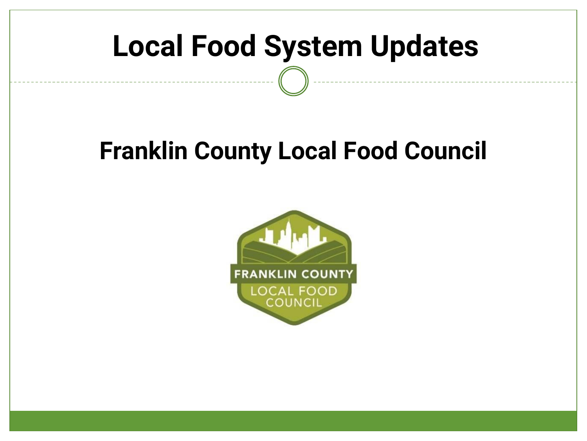#### **Local Food System Updates**

#### **Franklin County Local Food Council**

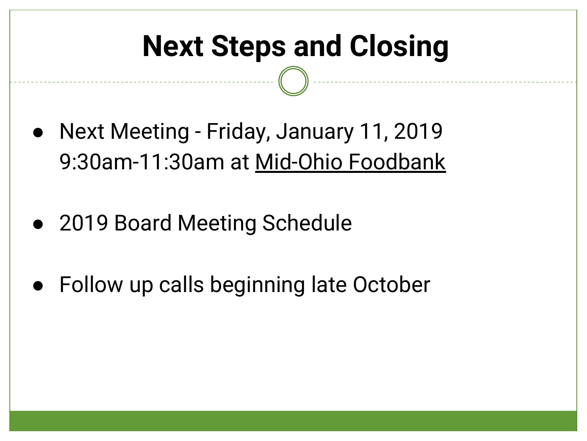### **Next Steps and Closing**

- Next Meeting Friday, January 11, 2019 9:30am-11:30am at Mid-Ohio Foodbank
- 2019 Board Meeting Schedule
- Follow up calls beginning late October